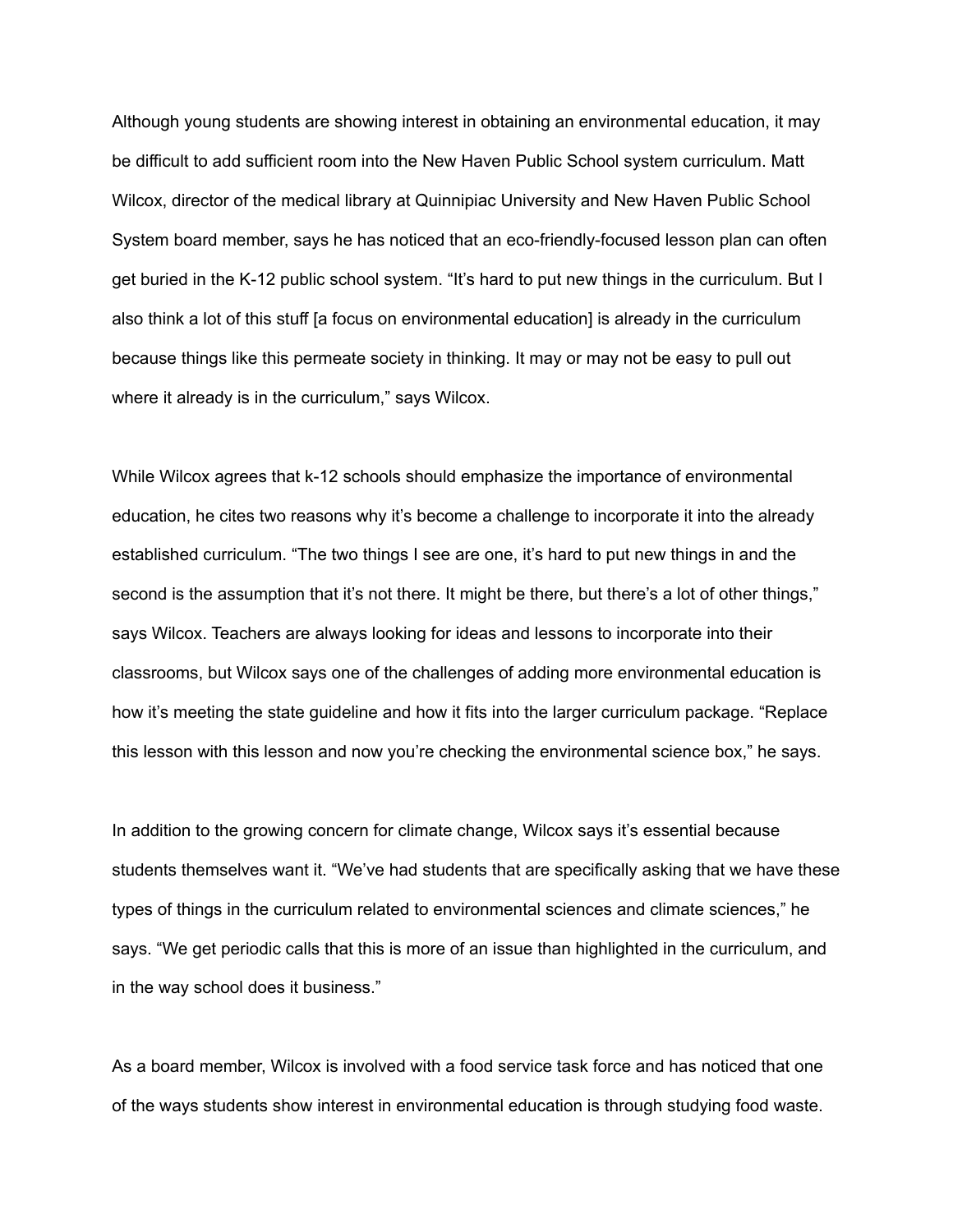Although young students are showing interest in obtaining an environmental education, it may be difficult to add sufficient room into the New Haven Public School system curriculum. Matt Wilcox, director of the medical library at Quinnipiac University and New Haven Public School System board member, says he has noticed that an eco-friendly-focused lesson plan can often get buried in the K-12 public school system. "It's hard to put new things in the curriculum. But I also think a lot of this stuff [a focus on environmental education] is already in the curriculum because things like this permeate society in thinking. It may or may not be easy to pull out where it already is in the curriculum," says Wilcox.

While Wilcox agrees that k-12 schools should emphasize the importance of environmental education, he cites two reasons why it's become a challenge to incorporate it into the already established curriculum. "The two things I see are one, it's hard to put new things in and the second is the assumption that it's not there. It might be there, but there's a lot of other things," says Wilcox. Teachers are always looking for ideas and lessons to incorporate into their classrooms, but Wilcox says one of the challenges of adding more environmental education is how it's meeting the state guideline and how it fits into the larger curriculum package. "Replace this lesson with this lesson and now you're checking the environmental science box," he says.

In addition to the growing concern for climate change, Wilcox says it's essential because students themselves want it. "We've had students that are specifically asking that we have these types of things in the curriculum related to environmental sciences and climate sciences," he says. "We get periodic calls that this is more of an issue than highlighted in the curriculum, and in the way school does it business."

As a board member, Wilcox is involved with a food service task force and has noticed that one of the ways students show interest in environmental education is through studying food waste.